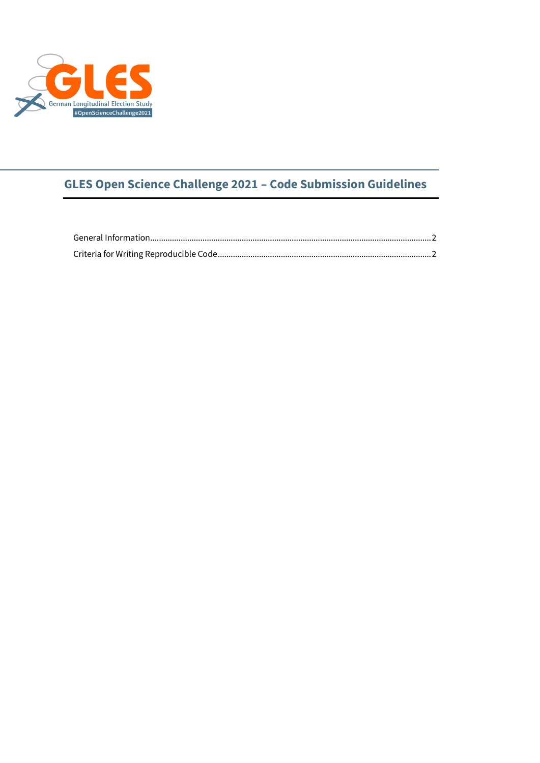

## **GLES Open Science Challenge 2021 – Code Submission Guidelines**